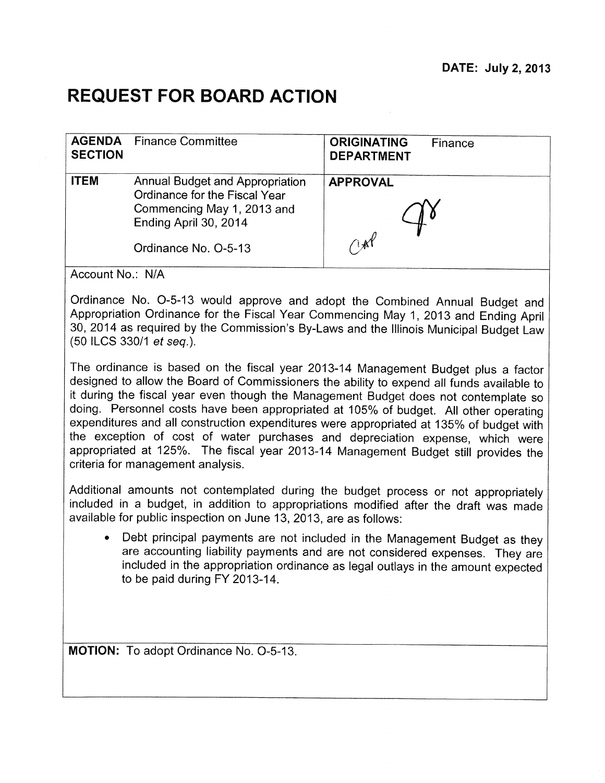# **REQUEST FOR BOARD ACTION**

| <b>SECTION</b> | <b>AGENDA</b> Finance Committee                                                                                                                 | <b>ORIGINATING</b><br>Finance<br><b>DEPARTMENT</b> |
|----------------|-------------------------------------------------------------------------------------------------------------------------------------------------|----------------------------------------------------|
| <b>ITEM</b>    | Annual Budget and Appropriation<br>Ordinance for the Fiscal Year<br>Commencing May 1, 2013 and<br>Ending April 30, 2014<br>Ordinance No. O-5-13 | <b>APPROVAL</b><br>INY                             |
|                |                                                                                                                                                 |                                                    |

Account No.: N/A

Ordinance No. 0-5-13 would approve and adopt the Combined Annual Budget and Appropriation Ordinance for the Fiscal Year Commencing May 1, 2013 and Ending April 30, 2014 as required by the Commission's By-Laws and the Illinois Municipal Budget Law (50 ILCS 330/1 et seq.).

The ordinance is based on the fiscal year 2013-14 Management Budget plus a factor designed to allow the Board of Commissioners the ability to expend all funds available to it during the fiscal year even though the Management Budget does not contemplate so doing. Personnel costs have been appropriated at 105% of budget. All other operating expenditures and all construction expenditures were appropriated at 135% of budget with the exception of cost of water purchases and depreciation expense, which were appropriated at 125%. The fiscal year 2013-14 Management Budget still provides the criteria for management analysis.

Additional amounts not contemplated during the budget process or not appropriately included in a budget, in addition to appropriations modified after the draft was made available for public inspection on June 13, 2013, are as follows:

• Debt principal payments are not included in the Management Budget as they are accounting liability payments and are not considered expenses. They are included in the appropriation ordinance as legal outlays in the amount expected to be paid during FY 2013-14.

**MOTION:** To adopt Ordinance No. 0-5-13.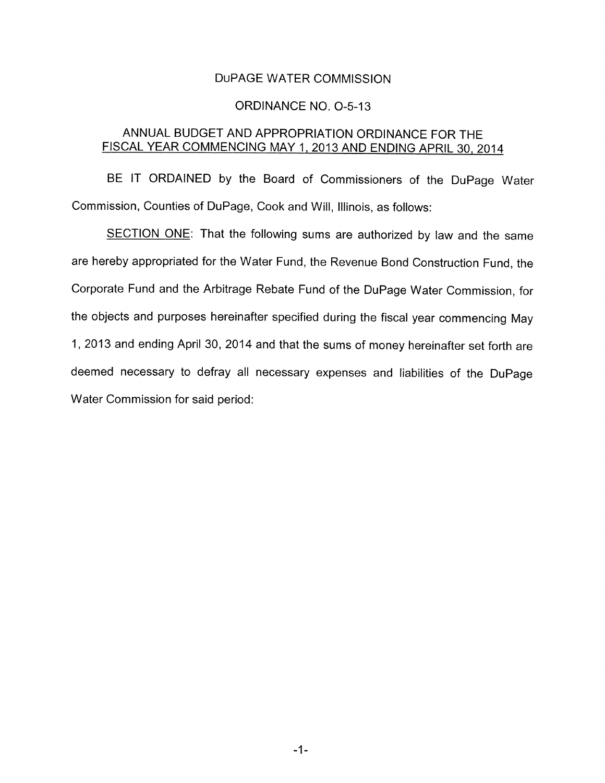### DuPAGE WATER COMMISSION

#### ORDINANCE NO. 0-5-13

## ANNUAL BUDGET AND APPROPRIATION ORDINANCE FOR THE FISCAL YEAR COMMENCING MAY 1. 2013 AND ENDING APRIL 30. 2014

BE IT ORDAINED by the Board of Commissioners of the DuPage Water Commission, Counties of DuPage, Cook and Will, Illinois, as follows:

SECTION ONE: That the following sums are authorized by law and the same are hereby appropriated for the Water Fund, the Revenue Bond Construction Fund, the Corporate Fund and the Arbitrage Rebate Fund of the DuPage Water Commission, for the objects and purposes hereinafter specified during the fiscal year commencing May 1, 2013 and ending April 30, 2014 and that the sums of money hereinafter set forth are deemed necessary to defray all necessary expenses and liabilities of the DuPage Water Commission for said period: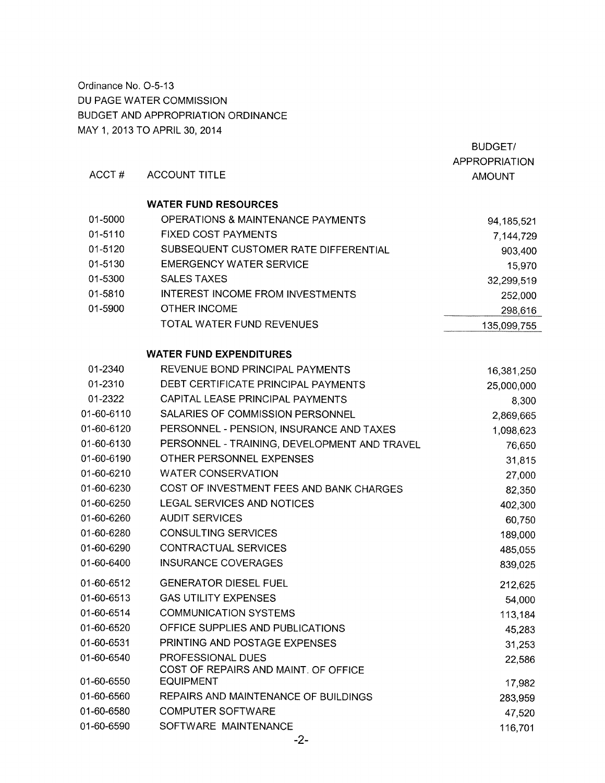Ordinance No. 0-5-13 DU PAGE WATER COMMISSION BUDGET AND APPROPRIATION ORDINANCE MAY 1, 2013 TO APRIL 30, 2014

|            |                                                          | <b>BUDGET/</b>       |
|------------|----------------------------------------------------------|----------------------|
|            |                                                          | <b>APPROPRIATION</b> |
| ACCT#      | <b>ACCOUNT TITLE</b>                                     | <b>AMOUNT</b>        |
|            | <b>WATER FUND RESOURCES</b>                              |                      |
| 01-5000    | <b>OPERATIONS &amp; MAINTENANCE PAYMENTS</b>             | 94, 185, 521         |
| 01-5110    | <b>FIXED COST PAYMENTS</b>                               | 7,144,729            |
| 01-5120    | SUBSEQUENT CUSTOMER RATE DIFFERENTIAL                    | 903,400              |
| 01-5130    | <b>EMERGENCY WATER SERVICE</b>                           | 15,970               |
| 01-5300    | <b>SALES TAXES</b>                                       | 32,299,519           |
| 01-5810    | <b>INTEREST INCOME FROM INVESTMENTS</b>                  | 252,000              |
| 01-5900    | <b>OTHER INCOME</b>                                      | 298,616              |
|            | TOTAL WATER FUND REVENUES                                | 135,099,755          |
|            | <b>WATER FUND EXPENDITURES</b>                           |                      |
| 01-2340    | REVENUE BOND PRINCIPAL PAYMENTS                          | 16,381,250           |
| 01-2310    | DEBT CERTIFICATE PRINCIPAL PAYMENTS                      | 25,000,000           |
| 01-2322    | CAPITAL LEASE PRINCIPAL PAYMENTS                         | 8,300                |
| 01-60-6110 | SALARIES OF COMMISSION PERSONNEL                         | 2,869,665            |
| 01-60-6120 | PERSONNEL - PENSION, INSURANCE AND TAXES                 | 1,098,623            |
| 01-60-6130 | PERSONNEL - TRAINING, DEVELOPMENT AND TRAVEL             | 76,650               |
| 01-60-6190 | OTHER PERSONNEL EXPENSES                                 | 31,815               |
| 01-60-6210 | <b>WATER CONSERVATION</b>                                | 27,000               |
| 01-60-6230 | COST OF INVESTMENT FEES AND BANK CHARGES                 | 82,350               |
| 01-60-6250 | LEGAL SERVICES AND NOTICES                               | 402,300              |
| 01-60-6260 | <b>AUDIT SERVICES</b>                                    | 60,750               |
| 01-60-6280 | <b>CONSULTING SERVICES</b>                               | 189,000              |
| 01-60-6290 | <b>CONTRACTUAL SERVICES</b>                              | 485,055              |
| 01-60-6400 | <b>INSURANCE COVERAGES</b>                               | 839,025              |
| 01-60-6512 | <b>GENERATOR DIESEL FUEL</b>                             | 212,625              |
| 01-60-6513 | <b>GAS UTILITY EXPENSES</b>                              | 54,000               |
| 01-60-6514 | <b>COMMUNICATION SYSTEMS</b>                             | 113,184              |
| 01-60-6520 | OFFICE SUPPLIES AND PUBLICATIONS                         | 45,283               |
| 01-60-6531 | PRINTING AND POSTAGE EXPENSES                            | 31,253               |
| 01-60-6540 | PROFESSIONAL DUES                                        | 22,586               |
| 01-60-6550 | COST OF REPAIRS AND MAINT. OF OFFICE<br><b>EQUIPMENT</b> | 17,982               |
| 01-60-6560 | REPAIRS AND MAINTENANCE OF BUILDINGS                     | 283,959              |
| 01-60-6580 | <b>COMPUTER SOFTWARE</b>                                 | 47,520               |
| 01-60-6590 | SOFTWARE MAINTENANCE                                     | 116,701              |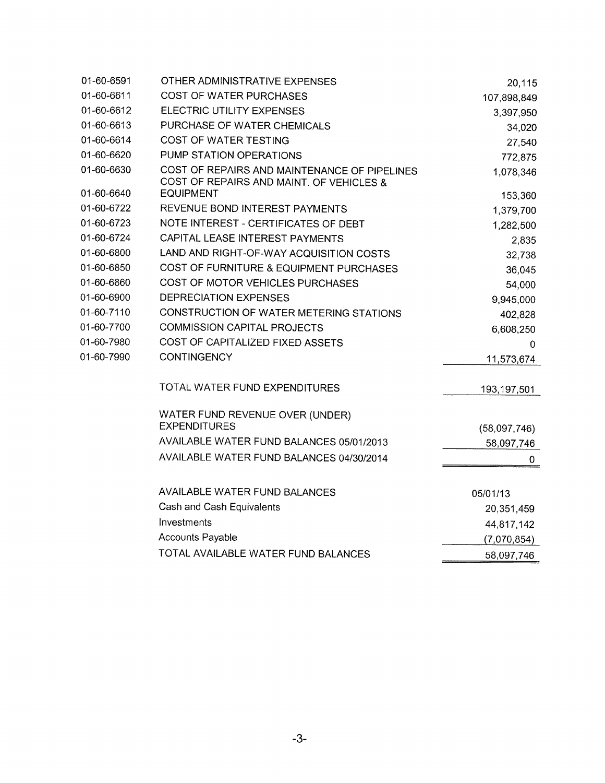| 01-60-6591 | OTHER ADMINISTRATIVE EXPENSES                                                            | 20,115       |
|------------|------------------------------------------------------------------------------------------|--------------|
| 01-60-6611 | <b>COST OF WATER PURCHASES</b>                                                           | 107,898,849  |
| 01-60-6612 | <b>ELECTRIC UTILITY EXPENSES</b>                                                         | 3,397,950    |
| 01-60-6613 | PURCHASE OF WATER CHEMICALS                                                              | 34,020       |
| 01-60-6614 | <b>COST OF WATER TESTING</b>                                                             | 27,540       |
| 01-60-6620 | PUMP STATION OPERATIONS                                                                  | 772,875      |
| 01-60-6630 | COST OF REPAIRS AND MAINTENANCE OF PIPELINES<br>COST OF REPAIRS AND MAINT. OF VEHICLES & | 1,078,346    |
| 01-60-6640 | <b>EQUIPMENT</b>                                                                         | 153,360      |
| 01-60-6722 | REVENUE BOND INTEREST PAYMENTS                                                           | 1,379,700    |
| 01-60-6723 | NOTE INTEREST - CERTIFICATES OF DEBT                                                     | 1,282,500    |
| 01-60-6724 | CAPITAL LEASE INTEREST PAYMENTS                                                          | 2,835        |
| 01-60-6800 | LAND AND RIGHT-OF-WAY ACQUISITION COSTS                                                  | 32,738       |
| 01-60-6850 | COST OF FURNITURE & EQUIPMENT PURCHASES                                                  | 36,045       |
| 01-60-6860 | <b>COST OF MOTOR VEHICLES PURCHASES</b>                                                  | 54,000       |
| 01-60-6900 | DEPRECIATION EXPENSES                                                                    | 9,945,000    |
| 01-60-7110 | CONSTRUCTION OF WATER METERING STATIONS                                                  | 402,828      |
| 01-60-7700 | <b>COMMISSION CAPITAL PROJECTS</b>                                                       | 6,608,250    |
| 01-60-7980 | COST OF CAPITALIZED FIXED ASSETS                                                         | 0            |
| 01-60-7990 | <b>CONTINGENCY</b>                                                                       | 11,573,674   |
|            | TOTAL WATER FUND EXPENDITURES                                                            | 193,197,501  |
|            | WATER FUND REVENUE OVER (UNDER)                                                          |              |
|            | <b>EXPENDITURES</b>                                                                      | (58,097,746) |
|            | AVAILABLE WATER FUND BALANCES 05/01/2013                                                 | 58,097,746   |
|            | AVAILABLE WATER FUND BALANCES 04/30/2014                                                 | 0            |
|            | <b>AVAILABLE WATER FUND BALANCES</b>                                                     | 05/01/13     |
|            | Cash and Cash Equivalents                                                                | 20,351,459   |
|            | Investments                                                                              | 44,817,142   |
|            | <b>Accounts Payable</b>                                                                  | (7,070,854)  |
|            | TOTAL AVAILABLE WATER FUND BALANCES                                                      | 58,097,746   |
|            |                                                                                          |              |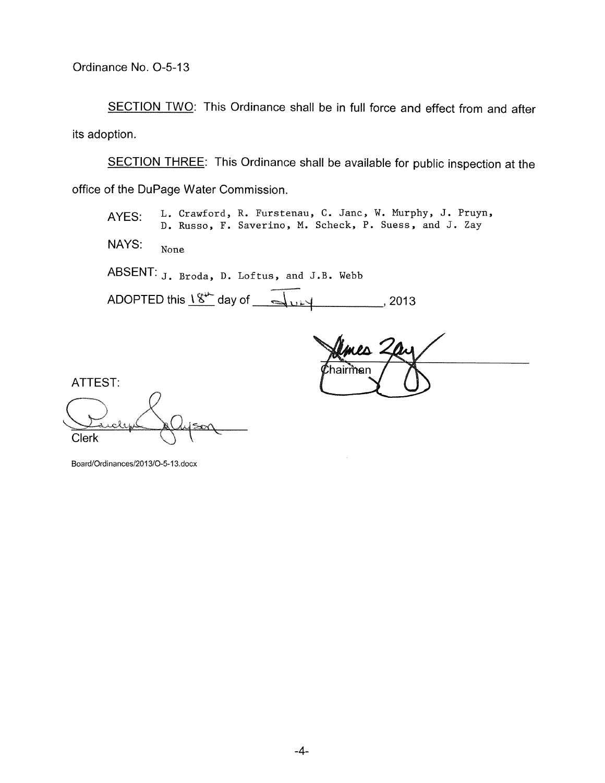SECTION TWO: This Ordinance shall be in full force and effect from and after its adoption.

SECTION THREE: This Ordinance shall be available for public inspection at the office of the DuPage Water Commission.

AYES: L. Crawford, R. Furstenau, C. Janc, W. Murphy, J. Pruyn, **D. Russo, F. Saverino , M. Seheek, P. Suess , and J . Zay**  NAYS: **None**  ABSENT: **J**. Broda, D. Loftus, and J.B. Webb ADOPTED this  $\frac{18}{3}$  day of  $\frac{18}{3}$  day of  $\frac{18}{3}$ 

mes ' hairman

ATTEST: Clerk

Board/Ordinances/2013/O-5-13.docx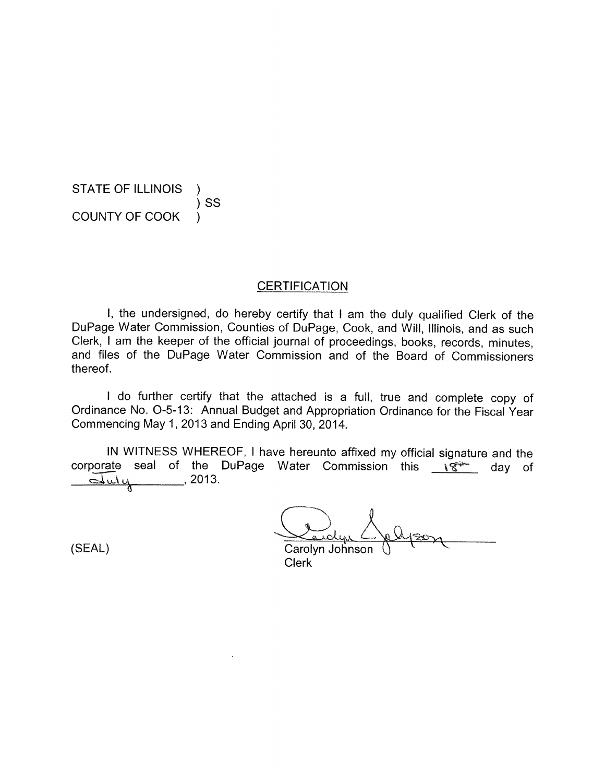STATE OF ILLINOIS ) SS COUNTY OF COOK )

**CERTIFICATION** 

I, the undersigned, do hereby certify that I am the duly qualified Clerk of the DuPage Water Commission, Counties of DuPage, Cook, and Will, Illinois, and as such Clerk, I am the keeper of the official journal of proceedings, books, records, minutes, and files of the DuPage Water Commission and of the Board of Commissioners thereof.

I do further certify that the attached is a full, true and complete copy of Ordinance No. 0-5-13: Annual Budget and Appropriation Ordinance for the Fiscal Year Commencing May 1, 2013 and Ending April 30, 2014.

IN WITNESS WHEREOF, I have hereunto affixed my official signature and the corporate seal of the DuPage Water Commission this  $\sqrt{8}$  day of  $\overline{\mathcal{L}}$ ulu  $\overline{\mathcal{L}}$ , 2013.

Carolyn Johnson Clerk

(SEAL)